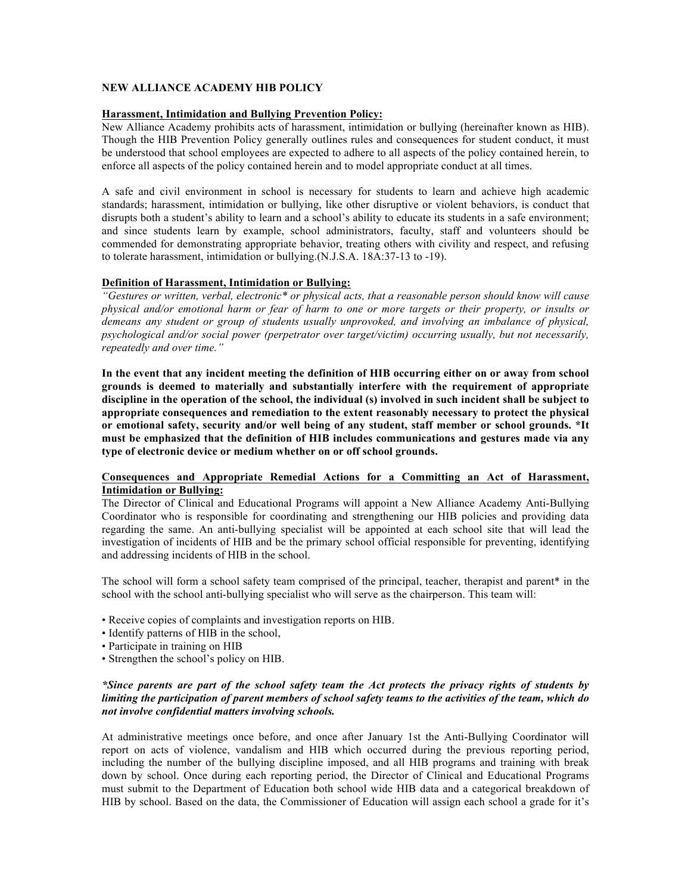# **NEW ALLIANCE ACADEMY HIB POLICY**

### **Harassment, Intimidation and Bullying Prevention Policy:**

New Alliance Academy prohibits acts of harassment, intimidation or bullying (hereinafter known as HIB). Though the HIB Prevention Policy generally outlines rules and consequences for student conduct, it must be understood that school employees are expected to adhere to all aspects of the policy contained herein, to enforce all aspects of the policy contained herein and to model appropriate conduct at all times.

A safe and civil environment in school is necessary for students to learn and achieve high academic standards; harassment, intimidation or bullying, like other disruptive or violent behaviors, is conduct that disrupts both a student's ability to learn and a school's ability to educate its students in a safe environment; and since students learn by example, school administrators, faculty, staff and volunteers should be commended for demonstrating appropriate behavior, treating others with civility and respect, and refusing to tolerate harassment, intimidation or bullying.(N.J.S.A. 18A:37-13 to -19).

### **Definition of Harassment, Intimidation or Bullying:**

*"Gestures or written, verbal, electronic\* or physical acts, that a reasonable person should know will cause physical and/or emotional harm or fear of harm to one or more targets or their property, or insults or demeans any student or group of students usually unprovoked, and involving an imbalance of physical, psychological and/or social power (perpetrator over target/victim) occurring usually, but not necessarily, repeatedly and over time."* 

**In the event that any incident meeting the definition of HIB occurring either on or away from school grounds is deemed to materially and substantially interfere with the requirement of appropriate discipline in the operation of the school, the individual (s) involved in such incident shall be subject to appropriate consequences and remediation to the extent reasonably necessary to protect the physical or emotional safety, security and/or well being of any student, staff member or school grounds. \*It must be emphasized that the definition of HIB includes communications and gestures made via any type of electronic device or medium whether on or off school grounds.** 

# **Consequences and Appropriate Remedial Actions for a Committing an Act of Harassment, Intimidation or Bullying:**

The Director of Clinical and Educational Programs will appoint a New Alliance Academy Anti-Bullying Coordinator who is responsible for coordinating and strengthening our HIB policies and providing data regarding the same. An anti-bullying specialist will be appointed at each school site that will lead the investigation of incidents of HIB and be the primary school official responsible for preventing, identifying and addressing incidents of HIB in the school.

The school will form a school safety team comprised of the principal, teacher, therapist and parent\* in the school with the school anti-bullying specialist who will serve as the chairperson. This team will:

- Receive copies of complaints and investigation reports on HIB.
- Identify patterns of HIB in the school,
- Participate in training on HIB
- Strengthen the school's policy on HIB.

# *\*Since parents are part of the school safety team the Act protects the privacy rights of students by limiting the participation of parent members of school safety teams to the activities of the team, which do not involve confidential matters involving schools.*

At administrative meetings once before, and once after January 1st the Anti-Bullying Coordinator will report on acts of violence, vandalism and HIB which occurred during the previous reporting period, including the number of the bullying discipline imposed, and all HIB programs and training with break down by school. Once during each reporting period, the Director of Clinical and Educational Programs must submit to the Department of Education both school wide HIB data and a categorical breakdown of HIB by school. Based on the data, the Commissioner of Education will assign each school a grade for it's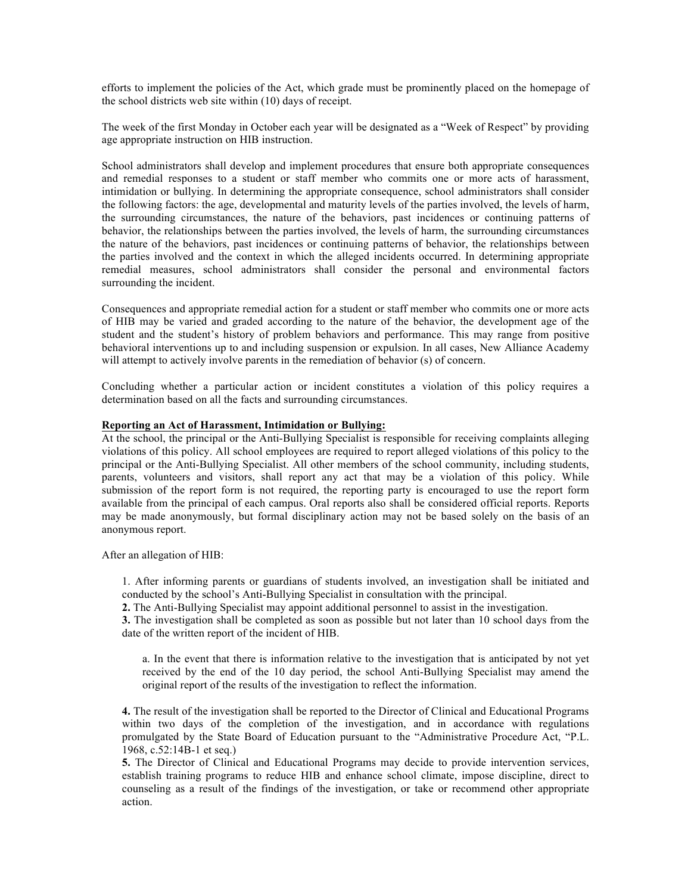efforts to implement the policies of the Act, which grade must be prominently placed on the homepage of the school districts web site within (10) days of receipt.

The week of the first Monday in October each year will be designated as a "Week of Respect" by providing age appropriate instruction on HIB instruction.

School administrators shall develop and implement procedures that ensure both appropriate consequences and remedial responses to a student or staff member who commits one or more acts of harassment, intimidation or bullying. In determining the appropriate consequence, school administrators shall consider the following factors: the age, developmental and maturity levels of the parties involved, the levels of harm, the surrounding circumstances, the nature of the behaviors, past incidences or continuing patterns of behavior, the relationships between the parties involved, the levels of harm, the surrounding circumstances the nature of the behaviors, past incidences or continuing patterns of behavior, the relationships between the parties involved and the context in which the alleged incidents occurred. In determining appropriate remedial measures, school administrators shall consider the personal and environmental factors surrounding the incident.

Consequences and appropriate remedial action for a student or staff member who commits one or more acts of HIB may be varied and graded according to the nature of the behavior, the development age of the student and the student's history of problem behaviors and performance. This may range from positive behavioral interventions up to and including suspension or expulsion. In all cases, New Alliance Academy will attempt to actively involve parents in the remediation of behavior (s) of concern.

Concluding whether a particular action or incident constitutes a violation of this policy requires a determination based on all the facts and surrounding circumstances.

#### **Reporting an Act of Harassment, Intimidation or Bullying:**

At the school, the principal or the Anti-Bullying Specialist is responsible for receiving complaints alleging violations of this policy. All school employees are required to report alleged violations of this policy to the principal or the Anti-Bullying Specialist. All other members of the school community, including students, parents, volunteers and visitors, shall report any act that may be a violation of this policy. While submission of the report form is not required, the reporting party is encouraged to use the report form available from the principal of each campus. Oral reports also shall be considered official reports. Reports may be made anonymously, but formal disciplinary action may not be based solely on the basis of an anonymous report.

After an allegation of HIB:

1. After informing parents or guardians of students involved, an investigation shall be initiated and conducted by the school's Anti-Bullying Specialist in consultation with the principal.

**2.** The Anti-Bullying Specialist may appoint additional personnel to assist in the investigation.

**3.** The investigation shall be completed as soon as possible but not later than 10 school days from the date of the written report of the incident of HIB.

a. In the event that there is information relative to the investigation that is anticipated by not yet received by the end of the 10 day period, the school Anti-Bullying Specialist may amend the original report of the results of the investigation to reflect the information.

**4.** The result of the investigation shall be reported to the Director of Clinical and Educational Programs within two days of the completion of the investigation, and in accordance with regulations promulgated by the State Board of Education pursuant to the "Administrative Procedure Act, "P.L. 1968, c.52:14B-1 et seq.)

**5.** The Director of Clinical and Educational Programs may decide to provide intervention services, establish training programs to reduce HIB and enhance school climate, impose discipline, direct to counseling as a result of the findings of the investigation, or take or recommend other appropriate action.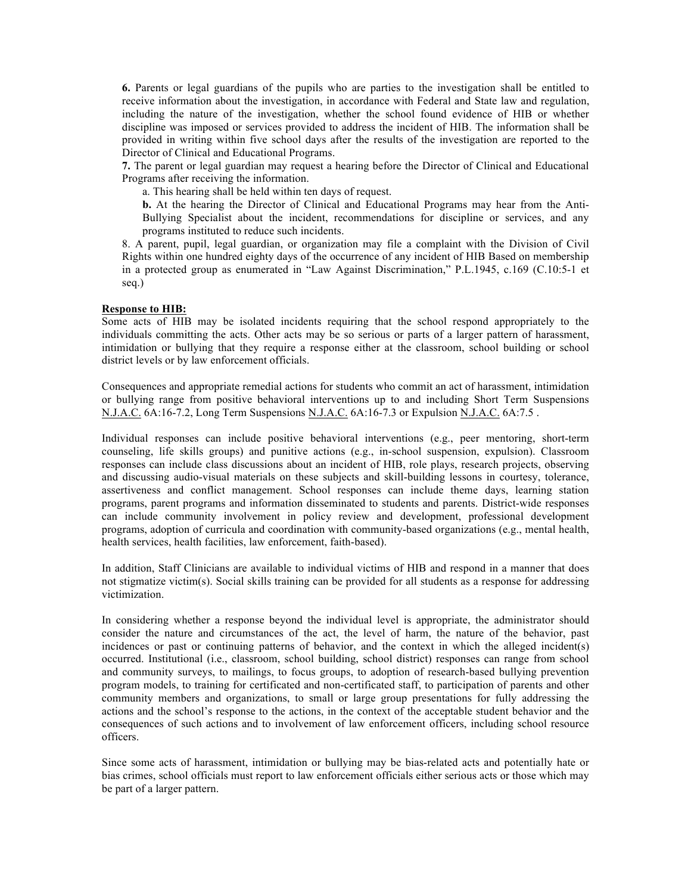**6.** Parents or legal guardians of the pupils who are parties to the investigation shall be entitled to receive information about the investigation, in accordance with Federal and State law and regulation, including the nature of the investigation, whether the school found evidence of HIB or whether discipline was imposed or services provided to address the incident of HIB. The information shall be provided in writing within five school days after the results of the investigation are reported to the Director of Clinical and Educational Programs.

**7.** The parent or legal guardian may request a hearing before the Director of Clinical and Educational Programs after receiving the information.

a. This hearing shall be held within ten days of request.

**b.** At the hearing the Director of Clinical and Educational Programs may hear from the Anti-Bullying Specialist about the incident, recommendations for discipline or services, and any programs instituted to reduce such incidents.

8. A parent, pupil, legal guardian, or organization may file a complaint with the Division of Civil Rights within one hundred eighty days of the occurrence of any incident of HIB Based on membership in a protected group as enumerated in "Law Against Discrimination," P.L.1945, c.169 (C.10:5-1 et seq.)

#### **Response to HIB:**

Some acts of HIB may be isolated incidents requiring that the school respond appropriately to the individuals committing the acts. Other acts may be so serious or parts of a larger pattern of harassment, intimidation or bullying that they require a response either at the classroom, school building or school district levels or by law enforcement officials.

Consequences and appropriate remedial actions for students who commit an act of harassment, intimidation or bullying range from positive behavioral interventions up to and including Short Term Suspensions N.J.A.C. 6A:16-7.2, Long Term Suspensions N.J.A.C. 6A:16-7.3 or Expulsion N.J.A.C. 6A:7.5 .

Individual responses can include positive behavioral interventions (e.g., peer mentoring, short-term counseling, life skills groups) and punitive actions (e.g., in-school suspension, expulsion). Classroom responses can include class discussions about an incident of HIB, role plays, research projects, observing and discussing audio-visual materials on these subjects and skill-building lessons in courtesy, tolerance, assertiveness and conflict management. School responses can include theme days, learning station programs, parent programs and information disseminated to students and parents. District-wide responses can include community involvement in policy review and development, professional development programs, adoption of curricula and coordination with community-based organizations (e.g., mental health, health services, health facilities, law enforcement, faith-based).

In addition, Staff Clinicians are available to individual victims of HIB and respond in a manner that does not stigmatize victim(s). Social skills training can be provided for all students as a response for addressing victimization.

In considering whether a response beyond the individual level is appropriate, the administrator should consider the nature and circumstances of the act, the level of harm, the nature of the behavior, past incidences or past or continuing patterns of behavior, and the context in which the alleged incident(s) occurred. Institutional (i.e., classroom, school building, school district) responses can range from school and community surveys, to mailings, to focus groups, to adoption of research-based bullying prevention program models, to training for certificated and non-certificated staff, to participation of parents and other community members and organizations, to small or large group presentations for fully addressing the actions and the school's response to the actions, in the context of the acceptable student behavior and the consequences of such actions and to involvement of law enforcement officers, including school resource officers.

Since some acts of harassment, intimidation or bullying may be bias-related acts and potentially hate or bias crimes, school officials must report to law enforcement officials either serious acts or those which may be part of a larger pattern.